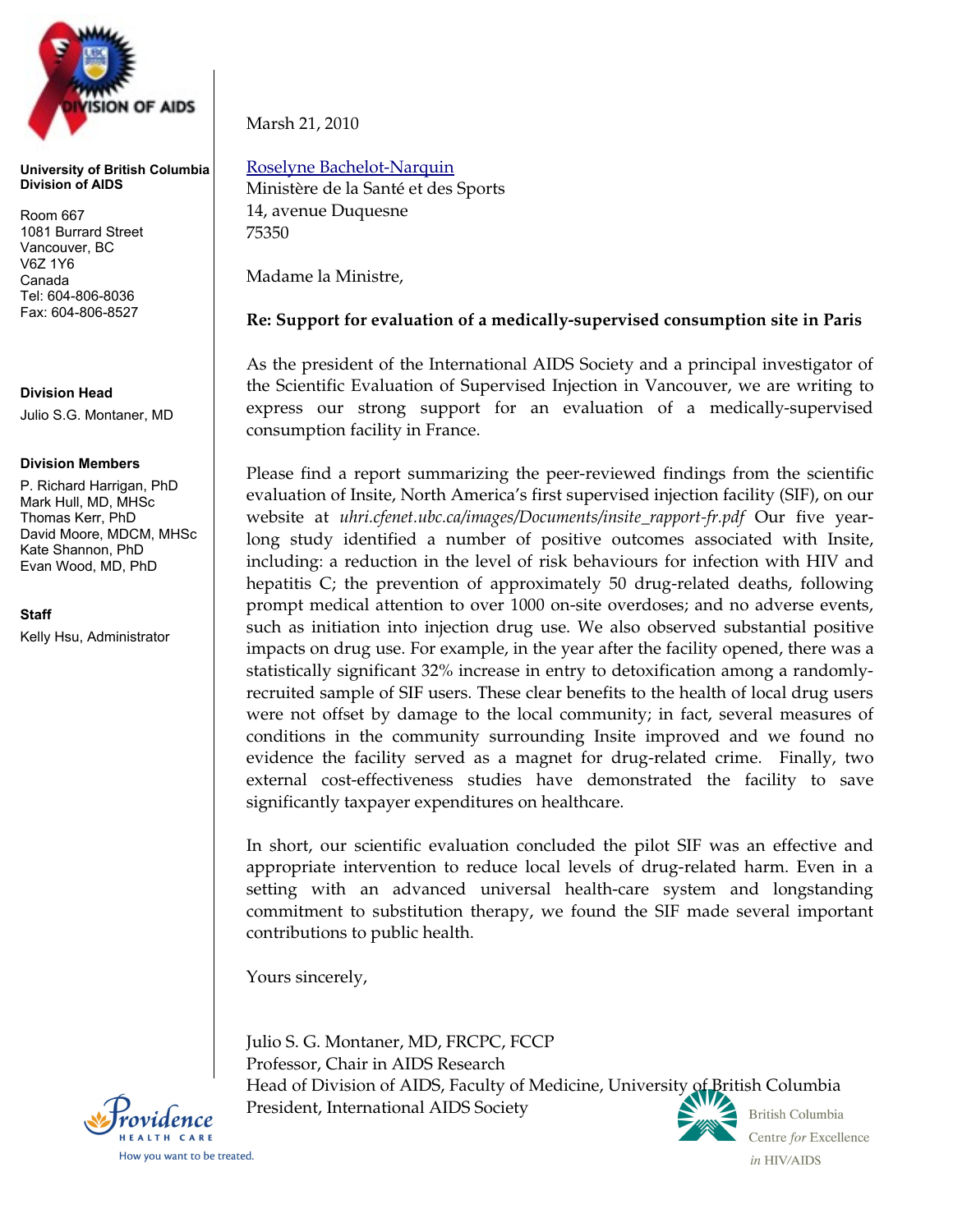

**University of British Columbia Division of AIDS**

Room 667 1081 Burrard Street Vancouver, BC V6Z 1Y6 Canada Tel: 604-806-8036 Fax: 604-806-8527

## **Division Head**

Julio S.G. Montaner, MD

## **Division Members**

P. Richard Harrigan, PhD Mark Hull, MD, MHSc Thomas Kerr, PhD David Moore, MDCM, MHSc Kate Shannon, PhD Evan Wood, MD, PhD

**Staff**

Kelly Hsu, Administrator

Marsh 21, 2010

Roselyne Bachelot-Narquin Ministère de la Santé et des Sports 14, avenue Duquesne 75350

Madame la Ministre,

## **Re: Support for evaluation of a medicallysupervised consumption site in Paris**

As the president of the International AIDS Society and a principal investigator of the Scientific Evaluation of Supervised Injection in Vancouver, we are writing to express our strong support for an evaluation of a medically-supervised consumption facility in France.

Please find a report summarizing the peerreviewed findings from the scientific evaluation of Insite, North America's first supervised injection facility (SIF), on our website at *uhri.cfenet.ubc.ca/images/Documents/insite\_rapport-fr.pdf* Our five yearlong study identified a number of positive outcomes associated with Insite, including: a reduction in the level of risk behaviours for infection with HIV and hepatitis  $C$ ; the prevention of approximately 50 drug-related deaths, following prompt medical attention to over 1000 on-site overdoses; and no adverse events, such as initiation into injection drug use. We also observed substantial positive impacts on drug use. For example, in the year after the facility opened, there was a statistically significant 32% increase in entry to detoxification among a randomlyrecruited sample of SIF users. These clear benefits to the health of local drug users were not offset by damage to the local community; in fact, several measures of conditions in the community surrounding Insite improved and we found no evidence the facility served as a magnet for drug-related crime. Finally, two external cost-effectiveness studies have demonstrated the facility to save significantly taxpayer expenditures on healthcare.

In short, our scientific evaluation concluded the pilot SIF was an effective and appropriate intervention to reduce local levels of drug-related harm. Even in a setting with an advanced universal health-care system and longstanding commitment to substitution therapy, we found the SIF made several important contributions to public health.

Yours sincerely,

Julio S. G. Montaner, MD, FRCPC, FCCP Professor, Chair in AIDS Research Head of Division of AIDS, Faculty of Medicine, University of British Columbia President, International AIDS Society**British Columbia** 



Centre for Excellence in HIV/AIDS